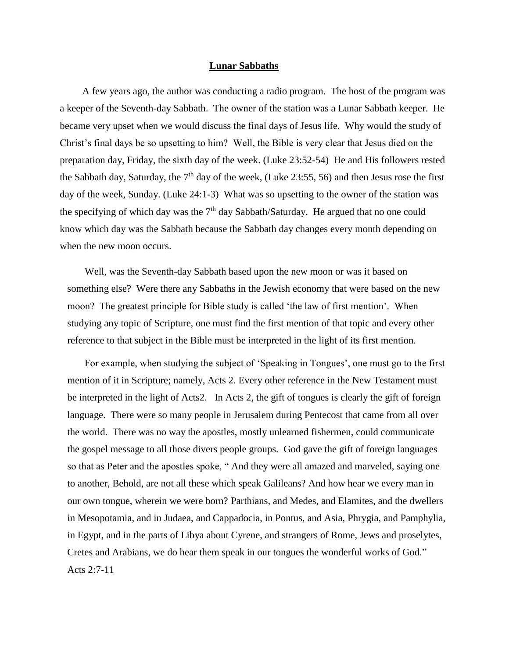## **Lunar Sabbaths**

 A few years ago, the author was conducting a radio program. The host of the program was a keeper of the Seventh-day Sabbath. The owner of the station was a Lunar Sabbath keeper. He became very upset when we would discuss the final days of Jesus life. Why would the study of Christ's final days be so upsetting to him? Well, the Bible is very clear that Jesus died on the preparation day, Friday, the sixth day of the week. (Luke 23:52-54) He and His followers rested the Sabbath day, Saturday, the  $7<sup>th</sup>$  day of the week, (Luke 23:55, 56) and then Jesus rose the first day of the week, Sunday. (Luke 24:1-3) What was so upsetting to the owner of the station was the specifying of which day was the  $7<sup>th</sup>$  day Sabbath/Saturday. He argued that no one could know which day was the Sabbath because the Sabbath day changes every month depending on when the new moon occurs.

 Well, was the Seventh-day Sabbath based upon the new moon or was it based on something else? Were there any Sabbaths in the Jewish economy that were based on the new moon? The greatest principle for Bible study is called 'the law of first mention'. When studying any topic of Scripture, one must find the first mention of that topic and every other reference to that subject in the Bible must be interpreted in the light of its first mention.

 For example, when studying the subject of 'Speaking in Tongues', one must go to the first mention of it in Scripture; namely, Acts 2. Every other reference in the New Testament must be interpreted in the light of Acts2. In Acts 2, the gift of tongues is clearly the gift of foreign language. There were so many people in Jerusalem during Pentecost that came from all over the world. There was no way the apostles, mostly unlearned fishermen, could communicate the gospel message to all those divers people groups. God gave the gift of foreign languages so that as Peter and the apostles spoke, " [And they were all amazed and marveled, saying one](http://www.kingjamesbibleonline.org/Acts-2-7/)  [to another, Behold, are not all these which speak Galileans?](http://www.kingjamesbibleonline.org/Acts-2-7/) [And how hear we every man in](http://www.kingjamesbibleonline.org/Acts-2-8/)  [our own tongue, wherein we were born?](http://www.kingjamesbibleonline.org/Acts-2-8/) [Parthians, and Medes, and Elamites, and the dwellers](http://www.kingjamesbibleonline.org/Acts-2-9/)  [in Mesopotamia, and in Judaea, and Cappadocia, in Pontus, and Asia,](http://www.kingjamesbibleonline.org/Acts-2-9/) [Phrygia, and Pamphylia,](http://www.kingjamesbibleonline.org/Acts-2-10/)  [in Egypt, and in the parts of Libya about Cyrene, and strangers of Rome, Jews and proselytes,](http://www.kingjamesbibleonline.org/Acts-2-10/) [Cretes and Arabians, we do hear them speak in our tongues the wonderful works of God."](http://www.kingjamesbibleonline.org/Acts-2-11/) Acts 2:7-11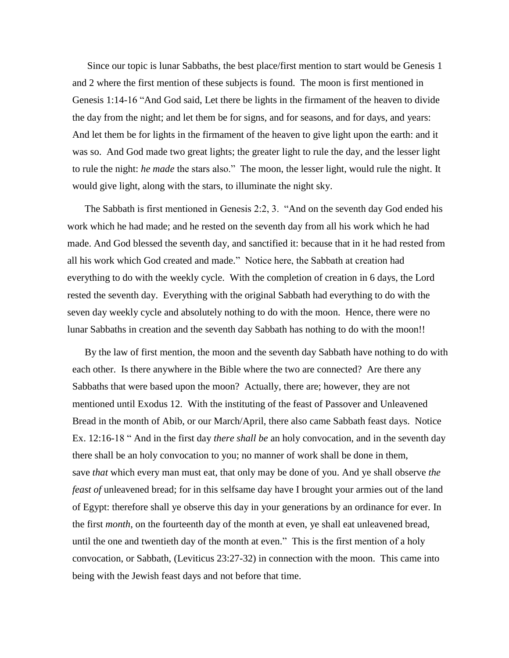Since our topic is lunar Sabbaths, the best place/first mention to start would be Genesis 1 and 2 where the first mention of these subjects is found. The moon is first mentioned in Genesis 1:14-16 "And God said, Let there be lights in the firmament of the heaven to divide the day from the night; and let them be for signs, and for seasons, and for days, and years: And let them be for lights in the firmament of the heaven to give light upon the earth: and it was so. And God made two great lights; the greater light to rule the day, and the lesser light to rule the night: *he made* the stars also." The moon, the lesser light, would rule the night. It would give light, along with the stars, to illuminate the night sky.

 The Sabbath is first mentioned in Genesis 2:2, 3. ["And on the seventh day God ended his](http://www.kingjamesbibleonline.org/Genesis-2-2/)  [work which he had made; and he rested on the seventh day from all his work which he had](http://www.kingjamesbibleonline.org/Genesis-2-2/)  [made.](http://www.kingjamesbibleonline.org/Genesis-2-2/) [And God blessed the seventh day, and sanctified it: because that in it he had rested from](http://www.kingjamesbibleonline.org/Genesis-2-3/)  [all his work which God created and made."](http://www.kingjamesbibleonline.org/Genesis-2-3/) Notice here, the Sabbath at creation had everything to do with the weekly cycle. With the completion of creation in 6 days, the Lord rested the seventh day. Everything with the original Sabbath had everything to do with the seven day weekly cycle and absolutely nothing to do with the moon. Hence, there were no lunar Sabbaths in creation and the seventh day Sabbath has nothing to do with the moon!!

 By the law of first mention, the moon and the seventh day Sabbath have nothing to do with each other. Is there anywhere in the Bible where the two are connected? Are there any Sabbaths that were based upon the moon? Actually, there are; however, they are not mentioned until Exodus 12. With the instituting of the feast of Passover and Unleavened Bread in the month of Abib, or our March/April, there also came Sabbath feast days. Notice Ex. 12:16-18 " And in the first day *there shall be* [an holy convocation, and in the seventh day](http://www.kingjamesbibleonline.org/Exodus-12-16/)  [there shall be an holy convocation to you; no manner of work shall be done in them,](http://www.kingjamesbibleonline.org/Exodus-12-16/)  save *that* [which every man must eat, that only may be done of you.](http://www.kingjamesbibleonline.org/Exodus-12-16/) [And ye shall observe](http://www.kingjamesbibleonline.org/Exodus-12-17/) *the feast of* [unleavened bread; for in this selfsame day have I brought your armies out of the land](http://www.kingjamesbibleonline.org/Exodus-12-17/)  [of Egypt: therefore shall ye observe this day in your generations by an ordinance for ever.](http://www.kingjamesbibleonline.org/Exodus-12-17/) [In](http://www.kingjamesbibleonline.org/Exodus-12-18/)  the first *month*[, on the fourteenth day of the month at even, ye shall eat unleavened bread,](http://www.kingjamesbibleonline.org/Exodus-12-18/)  [until the one and twentieth day of the month at even."](http://www.kingjamesbibleonline.org/Exodus-12-18/) This is the first mention of a holy convocation, or Sabbath, (Leviticus 23:27-32) in connection with the moon. This came into being with the Jewish feast days and not before that time.